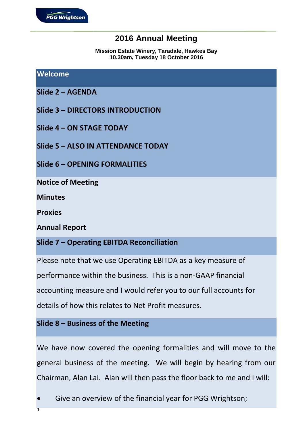# **2016 Annual Meeting**

**Mission Estate Winery, Taradale, Hawkes Bay 10.30am, Tuesday 18 October 2016**

#### **Welcome**

- **Slide 2 – AGENDA**
- **Slide 3 – DIRECTORS INTRODUCTION**
- **Slide 4 – ON STAGE TODAY**
- **Slide 5 – ALSO IN ATTENDANCE TODAY**
- **Slide 6 – OPENING FORMALITIES**

**Notice of Meeting**

**Minutes**

**Proxies**

**Annual Report**

#### **Slide 7 – Operating EBITDA Reconciliation**

Please note that we use Operating EBITDA as a key measure of

performance within the business. This is a non-GAAP financial

accounting measure and I would refer you to our full accounts for

details of how this relates to Net Profit measures.

#### **Slide 8 – Business of the Meeting**

We have now covered the opening formalities and will move to the general business of the meeting. We will begin by hearing from our Chairman, Alan Lai. Alan will then pass the floor back to me and I will:

- Give an overview of the financial year for PGG Wrightson;
- 1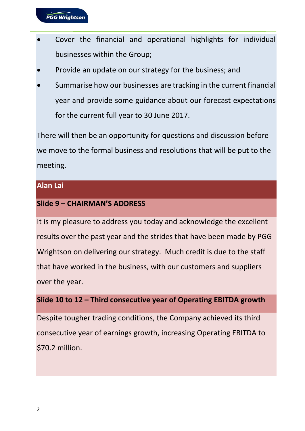- Cover the financial and operational highlights for individual businesses within the Group;
- Provide an update on our strategy for the business; and
- Summarise how our businesses are tracking in the current financial year and provide some guidance about our forecast expectations for the current full year to 30 June 2017.

There will then be an opportunity for questions and discussion before we move to the formal business and resolutions that will be put to the meeting.

### **Alan Lai**

# **Slide 9 – CHAIRMAN'S ADDRESS**

It is my pleasure to address you today and acknowledge the excellent results over the past year and the strides that have been made by PGG Wrightson on delivering our strategy. Much credit is due to the staff that have worked in the business, with our customers and suppliers over the year.

# **Slide 10 to 12 – Third consecutive year of Operating EBITDA growth**

Despite tougher trading conditions, the Company achieved its third consecutive year of earnings growth, increasing Operating EBITDA to \$70.2 million.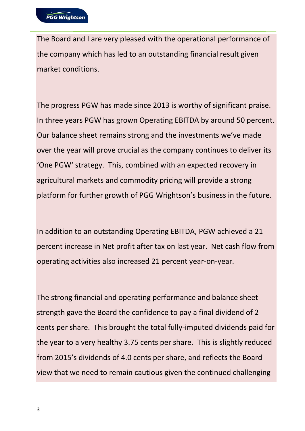The Board and I are very pleased with the operational performance of the company which has led to an outstanding financial result given market conditions.

The progress PGW has made since 2013 is worthy of significant praise. In three years PGW has grown Operating EBITDA by around 50 percent. Our balance sheet remains strong and the investments we've made over the year will prove crucial as the company continues to deliver its 'One PGW' strategy. This, combined with an expected recovery in agricultural markets and commodity pricing will provide a strong platform for further growth of PGG Wrightson's business in the future.

In addition to an outstanding Operating EBITDA, PGW achieved a 21 percent increase in Net profit after tax on last year. Net cash flow from operating activities also increased 21 percent year-on-year.

The strong financial and operating performance and balance sheet strength gave the Board the confidence to pay a final dividend of 2 cents per share. This brought the total fully-imputed dividends paid for the year to a very healthy 3.75 cents per share. This is slightly reduced from 2015's dividends of 4.0 cents per share, and reflects the Board view that we need to remain cautious given the continued challenging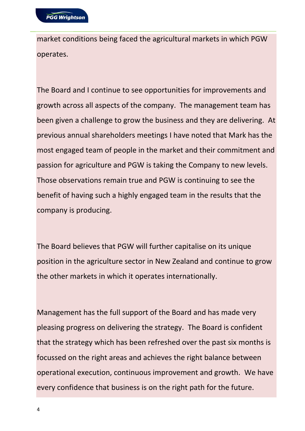market conditions being faced the agricultural markets in which PGW operates.

The Board and I continue to see opportunities for improvements and growth across all aspects of the company. The management team has been given a challenge to grow the business and they are delivering. At previous annual shareholders meetings I have noted that Mark has the most engaged team of people in the market and their commitment and passion for agriculture and PGW is taking the Company to new levels. Those observations remain true and PGW is continuing to see the benefit of having such a highly engaged team in the results that the company is producing.

The Board believes that PGW will further capitalise on its unique position in the agriculture sector in New Zealand and continue to grow the other markets in which it operates internationally.

Management has the full support of the Board and has made very pleasing progress on delivering the strategy. The Board is confident that the strategy which has been refreshed over the past six months is focussed on the right areas and achieves the right balance between operational execution, continuous improvement and growth. We have every confidence that business is on the right path for the future.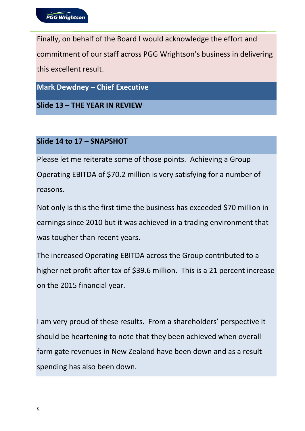Finally, on behalf of the Board I would acknowledge the effort and commitment of our staff across PGG Wrightson's business in delivering this excellent result.

**Mark Dewdney – Chief Executive**

**Slide 13 – THE YEAR IN REVIEW**

# **Slide 14 to 17 – SNAPSHOT**

Please let me reiterate some of those points. Achieving a Group Operating EBITDA of \$70.2 million is very satisfying for a number of reasons.

Not only is this the first time the business has exceeded \$70 million in earnings since 2010 but it was achieved in a trading environment that was tougher than recent years.

The increased Operating EBITDA across the Group contributed to a higher net profit after tax of \$39.6 million. This is a 21 percent increase on the 2015 financial year.

I am very proud of these results. From a shareholders' perspective it should be heartening to note that they been achieved when overall farm gate revenues in New Zealand have been down and as a result spending has also been down.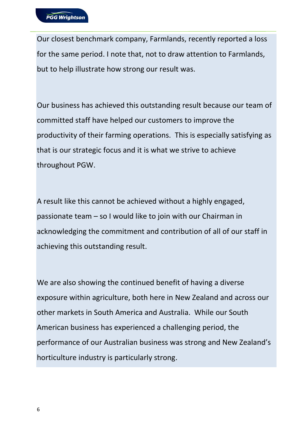Our closest benchmark company, Farmlands, recently reported a loss for the same period. I note that, not to draw attention to Farmlands, but to help illustrate how strong our result was.

Our business has achieved this outstanding result because our team of committed staff have helped our customers to improve the productivity of their farming operations. This is especially satisfying as that is our strategic focus and it is what we strive to achieve throughout PGW.

A result like this cannot be achieved without a highly engaged, passionate team – so I would like to join with our Chairman in acknowledging the commitment and contribution of all of our staff in achieving this outstanding result.

We are also showing the continued benefit of having a diverse exposure within agriculture, both here in New Zealand and across our other markets in South America and Australia. While our South American business has experienced a challenging period, the performance of our Australian business was strong and New Zealand's horticulture industry is particularly strong.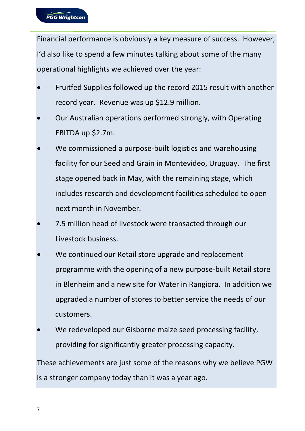Financial performance is obviously a key measure of success. However, I'd also like to spend a few minutes talking about some of the many operational highlights we achieved over the year:

- Fruitfed Supplies followed up the record 2015 result with another record year. Revenue was up \$12.9 million.
- Our Australian operations performed strongly, with Operating EBITDA up \$2.7m.
- We commissioned a purpose-built logistics and warehousing facility for our Seed and Grain in Montevideo, Uruguay. The first stage opened back in May, with the remaining stage, which includes research and development facilities scheduled to open next month in November.
- 7.5 million head of livestock were transacted through our Livestock business.
- We continued our Retail store upgrade and replacement programme with the opening of a new purpose-built Retail store in Blenheim and a new site for Water in Rangiora. In addition we upgraded a number of stores to better service the needs of our customers.
- We redeveloped our Gisborne maize seed processing facility, providing for significantly greater processing capacity.

These achievements are just some of the reasons why we believe PGW is a stronger company today than it was a year ago.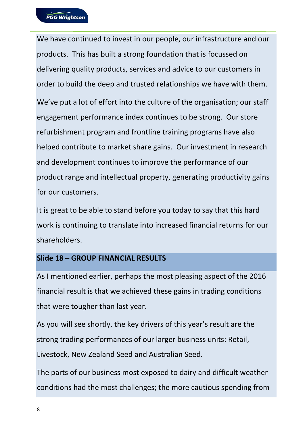We have continued to invest in our people, our infrastructure and our products. This has built a strong foundation that is focussed on delivering quality products, services and advice to our customers in order to build the deep and trusted relationships we have with them. We've put a lot of effort into the culture of the organisation; our staff engagement performance index continues to be strong. Our store refurbishment program and frontline training programs have also helped contribute to market share gains. Our investment in research and development continues to improve the performance of our product range and intellectual property, generating productivity gains for our customers.

It is great to be able to stand before you today to say that this hard work is continuing to translate into increased financial returns for our shareholders.

# **Slide 18 – GROUP FINANCIAL RESULTS**

As I mentioned earlier, perhaps the most pleasing aspect of the 2016 financial result is that we achieved these gains in trading conditions that were tougher than last year.

As you will see shortly, the key drivers of this year's result are the strong trading performances of our larger business units: Retail, Livestock, New Zealand Seed and Australian Seed.

The parts of our business most exposed to dairy and difficult weather conditions had the most challenges; the more cautious spending from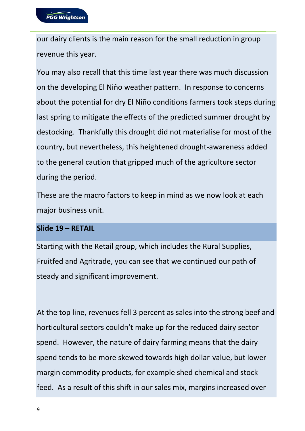our dairy clients is the main reason for the small reduction in group revenue this year.

You may also recall that this time last year there was much discussion on the developing El Niño weather pattern. In response to concerns about the potential for dry El Niño conditions farmers took steps during last spring to mitigate the effects of the predicted summer drought by destocking. Thankfully this drought did not materialise for most of the country, but nevertheless, this heightened drought-awareness added to the general caution that gripped much of the agriculture sector during the period.

These are the macro factors to keep in mind as we now look at each major business unit.

# **Slide 19 – RETAIL**

Starting with the Retail group, which includes the Rural Supplies, Fruitfed and Agritrade, you can see that we continued our path of steady and significant improvement.

At the top line, revenues fell 3 percent as sales into the strong beef and horticultural sectors couldn't make up for the reduced dairy sector spend. However, the nature of dairy farming means that the dairy spend tends to be more skewed towards high dollar-value, but lowermargin commodity products, for example shed chemical and stock feed. As a result of this shift in our sales mix, margins increased over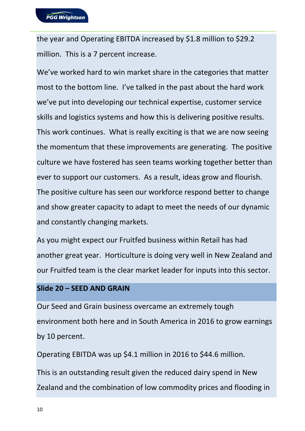the year and Operating EBITDA increased by \$1.8 million to \$29.2 million. This is a 7 percent increase.

We've worked hard to win market share in the categories that matter most to the bottom line. I've talked in the past about the hard work we've put into developing our technical expertise, customer service skills and logistics systems and how this is delivering positive results. This work continues. What is really exciting is that we are now seeing the momentum that these improvements are generating. The positive culture we have fostered has seen teams working together better than ever to support our customers. As a result, ideas grow and flourish. The positive culture has seen our workforce respond better to change and show greater capacity to adapt to meet the needs of our dynamic and constantly changing markets.

As you might expect our Fruitfed business within Retail has had another great year. Horticulture is doing very well in New Zealand and our Fruitfed team is the clear market leader for inputs into this sector.

#### **Slide 20 – SEED AND GRAIN**

Our Seed and Grain business overcame an extremely tough environment both here and in South America in 2016 to grow earnings by 10 percent.

Operating EBITDA was up \$4.1 million in 2016 to \$44.6 million.

This is an outstanding result given the reduced dairy spend in New Zealand and the combination of low commodity prices and flooding in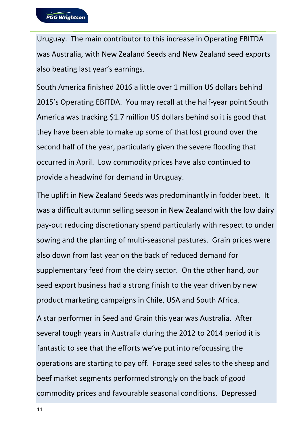Uruguay. The main contributor to this increase in Operating EBITDA was Australia, with New Zealand Seeds and New Zealand seed exports also beating last year's earnings.

South America finished 2016 a little over 1 million US dollars behind 2015's Operating EBITDA. You may recall at the half-year point South America was tracking \$1.7 million US dollars behind so it is good that they have been able to make up some of that lost ground over the second half of the year, particularly given the severe flooding that occurred in April. Low commodity prices have also continued to provide a headwind for demand in Uruguay.

The uplift in New Zealand Seeds was predominantly in fodder beet. It was a difficult autumn selling season in New Zealand with the low dairy pay-out reducing discretionary spend particularly with respect to under sowing and the planting of multi-seasonal pastures. Grain prices were also down from last year on the back of reduced demand for supplementary feed from the dairy sector. On the other hand, our seed export business had a strong finish to the year driven by new product marketing campaigns in Chile, USA and South Africa.

A star performer in Seed and Grain this year was Australia. After several tough years in Australia during the 2012 to 2014 period it is fantastic to see that the efforts we've put into refocussing the operations are starting to pay off. Forage seed sales to the sheep and beef market segments performed strongly on the back of good commodity prices and favourable seasonal conditions. Depressed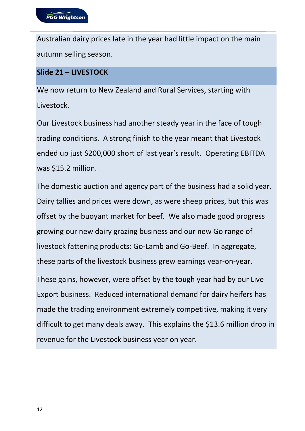Australian dairy prices late in the year had little impact on the main autumn selling season.

# **Slide 21 – LIVESTOCK**

We now return to New Zealand and Rural Services, starting with Livestock.

Our Livestock business had another steady year in the face of tough trading conditions. A strong finish to the year meant that Livestock ended up just \$200,000 short of last year's result. Operating EBITDA was \$15.2 million.

The domestic auction and agency part of the business had a solid year. Dairy tallies and prices were down, as were sheep prices, but this was offset by the buoyant market for beef. We also made good progress growing our new dairy grazing business and our new Go range of livestock fattening products: Go-Lamb and Go-Beef. In aggregate, these parts of the livestock business grew earnings year-on-year.

These gains, however, were offset by the tough year had by our Live Export business. Reduced international demand for dairy heifers has made the trading environment extremely competitive, making it very difficult to get many deals away. This explains the \$13.6 million drop in revenue for the Livestock business year on year.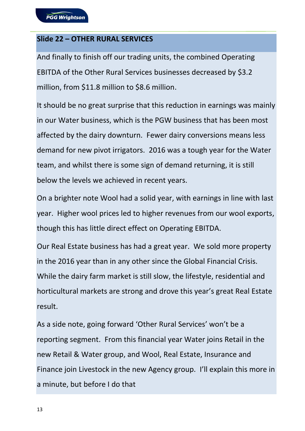### **Slide 22 – OTHER RURAL SERVICES**

And finally to finish off our trading units, the combined Operating EBITDA of the Other Rural Services businesses decreased by \$3.2 million, from \$11.8 million to \$8.6 million.

It should be no great surprise that this reduction in earnings was mainly in our Water business, which is the PGW business that has been most affected by the dairy downturn. Fewer dairy conversions means less demand for new pivot irrigators. 2016 was a tough year for the Water team, and whilst there is some sign of demand returning, it is still below the levels we achieved in recent years.

On a brighter note Wool had a solid year, with earnings in line with last year. Higher wool prices led to higher revenues from our wool exports, though this has little direct effect on Operating EBITDA.

Our Real Estate business has had a great year. We sold more property in the 2016 year than in any other since the Global Financial Crisis. While the dairy farm market is still slow, the lifestyle, residential and horticultural markets are strong and drove this year's great Real Estate result.

As a side note, going forward 'Other Rural Services' won't be a reporting segment. From this financial year Water joins Retail in the new Retail & Water group, and Wool, Real Estate, Insurance and Finance join Livestock in the new Agency group. I'll explain this more in a minute, but before I do that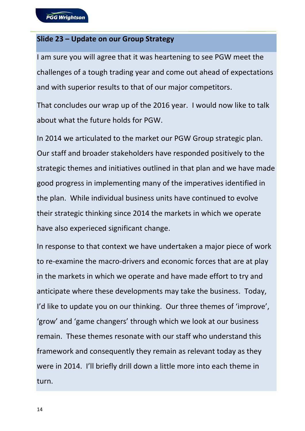### **Slide 23 – Update on our Group Strategy**

I am sure you will agree that it was heartening to see PGW meet the challenges of a tough trading year and come out ahead of expectations and with superior results to that of our major competitors.

That concludes our wrap up of the 2016 year. I would now like to talk about what the future holds for PGW.

In 2014 we articulated to the market our PGW Group strategic plan. Our staff and broader stakeholders have responded positively to the strategic themes and initiatives outlined in that plan and we have made good progress in implementing many of the imperatives identified in the plan. While individual business units have continued to evolve their strategic thinking since 2014 the markets in which we operate have also experieced significant change.

In response to that context we have undertaken a major piece of work to re-examine the macro-drivers and economic forces that are at play in the markets in which we operate and have made effort to try and anticipate where these developments may take the business. Today, I'd like to update you on our thinking. Our three themes of 'improve', 'grow' and 'game changers' through which we look at our business remain. These themes resonate with our staff who understand this framework and consequently they remain as relevant today as they were in 2014. I'll briefly drill down a little more into each theme in turn.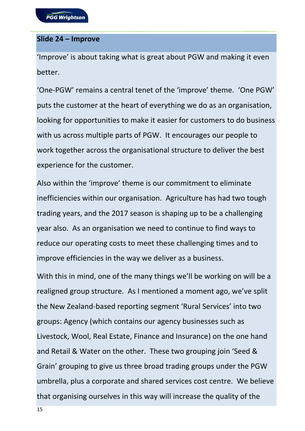### **Slide 24 – Improve**

'Improve' is about taking what is great about PGW and making it even better.

'One-PGW' remains a central tenet of the 'improve' theme. 'One PGW' puts the customer at the heart of everything we do as an organisation, looking for opportunities to make it easier for customers to do business with us across multiple parts of PGW. It encourages our people to work together across the organisational structure to deliver the best experience for the customer.

Also within the 'improve' theme is our commitment to eliminate inefficiencies within our organisation. Agriculture has had two tough trading years, and the 2017 season is shaping up to be a challenging year also. As an organisation we need to continue to find ways to reduce our operating costs to meet these challenging times and to improve efficiencies in the way we deliver as a business.

With this in mind, one of the many things we'll be working on will be a realigned group structure. As I mentioned a moment ago, we've split the New Zealand-based reporting segment 'Rural Services' into two groups: Agency (which contains our agency businesses such as Livestock, Wool, Real Estate, Finance and Insurance) on the one hand and Retail & Water on the other. These two grouping join 'Seed & Grain' grouping to give us three broad trading groups under the PGW umbrella, plus a corporate and shared services cost centre. We believe that organising ourselves in this way will increase the quality of the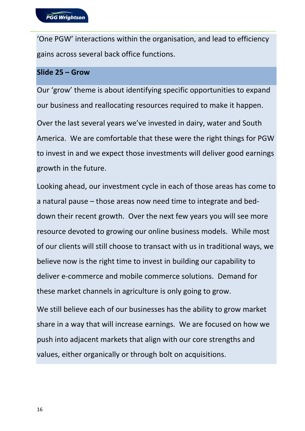'One PGW' interactions within the organisation, and lead to efficiency gains across several back office functions.

#### **Slide 25 – Grow**

Our 'grow' theme is about identifying specific opportunities to expand our business and reallocating resources required to make it happen.

Over the last several years we've invested in dairy, water and South America. We are comfortable that these were the right things for PGW to invest in and we expect those investments will deliver good earnings growth in the future.

Looking ahead, our investment cycle in each of those areas has come to a natural pause – those areas now need time to integrate and beddown their recent growth. Over the next few years you will see more resource devoted to growing our online business models. While most of our clients will still choose to transact with us in traditional ways, we believe now is the right time to invest in building our capability to deliver e-commerce and mobile commerce solutions. Demand for these market channels in agriculture is only going to grow.

We still believe each of our businesses has the ability to grow market share in a way that will increase earnings. We are focused on how we push into adjacent markets that align with our core strengths and values, either organically or through bolt on acquisitions.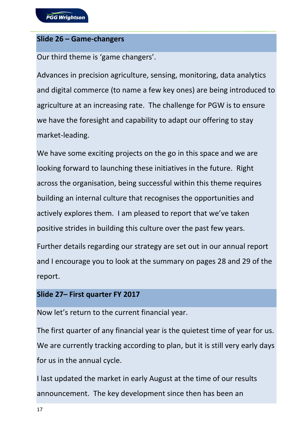#### **Slide 26 – Game-changers**

Our third theme is 'game changers'.

Advances in precision agriculture, sensing, monitoring, data analytics and digital commerce (to name a few key ones) are being introduced to agriculture at an increasing rate. The challenge for PGW is to ensure we have the foresight and capability to adapt our offering to stay market-leading.

We have some exciting projects on the go in this space and we are looking forward to launching these initiatives in the future. Right across the organisation, being successful within this theme requires building an internal culture that recognises the opportunities and actively explores them. I am pleased to report that we've taken positive strides in building this culture over the past few years.

Further details regarding our strategy are set out in our annual report and I encourage you to look at the summary on pages 28 and 29 of the report.

#### **Slide 27– First quarter FY 2017**

Now let's return to the current financial year.

The first quarter of any financial year is the quietest time of year for us. We are currently tracking according to plan, but it is still very early days for us in the annual cycle.

I last updated the market in early August at the time of our results announcement. The key development since then has been an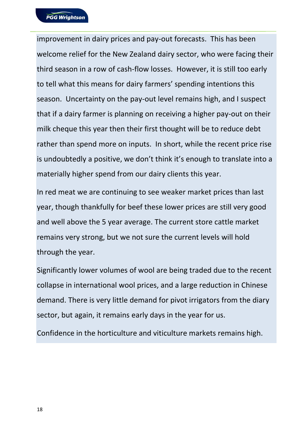improvement in dairy prices and pay-out forecasts. This has been welcome relief for the New Zealand dairy sector, who were facing their third season in a row of cash-flow losses. However, it is still too early to tell what this means for dairy farmers' spending intentions this season. Uncertainty on the pay-out level remains high, and I suspect that if a dairy farmer is planning on receiving a higher pay-out on their milk cheque this year then their first thought will be to reduce debt rather than spend more on inputs. In short, while the recent price rise is undoubtedly a positive, we don't think it's enough to translate into a materially higher spend from our dairy clients this year.

In red meat we are continuing to see weaker market prices than last year, though thankfully for beef these lower prices are still very good and well above the 5 year average. The current store cattle market remains very strong, but we not sure the current levels will hold through the year.

Significantly lower volumes of wool are being traded due to the recent collapse in international wool prices, and a large reduction in Chinese demand. There is very little demand for pivot irrigators from the diary sector, but again, it remains early days in the year for us.

Confidence in the horticulture and viticulture markets remains high.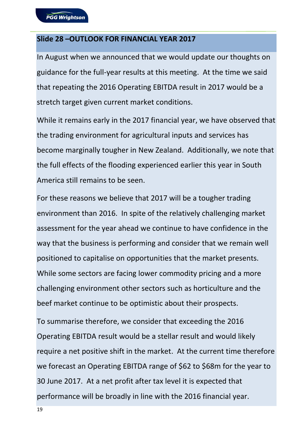#### **Slide 28 –OUTLOOK FOR FINANCIAL YEAR 2017**

In August when we announced that we would update our thoughts on guidance for the full-year results at this meeting. At the time we said that repeating the 2016 Operating EBITDA result in 2017 would be a stretch target given current market conditions.

While it remains early in the 2017 financial year, we have observed that the trading environment for agricultural inputs and services has become marginally tougher in New Zealand. Additionally, we note that the full effects of the flooding experienced earlier this year in South America still remains to be seen.

For these reasons we believe that 2017 will be a tougher trading environment than 2016. In spite of the relatively challenging market assessment for the year ahead we continue to have confidence in the way that the business is performing and consider that we remain well positioned to capitalise on opportunities that the market presents. While some sectors are facing lower commodity pricing and a more challenging environment other sectors such as horticulture and the beef market continue to be optimistic about their prospects.

To summarise therefore, we consider that exceeding the 2016 Operating EBITDA result would be a stellar result and would likely require a net positive shift in the market. At the current time therefore we forecast an Operating EBITDA range of \$62 to \$68m for the year to 30 June 2017. At a net profit after tax level it is expected that performance will be broadly in line with the 2016 financial year.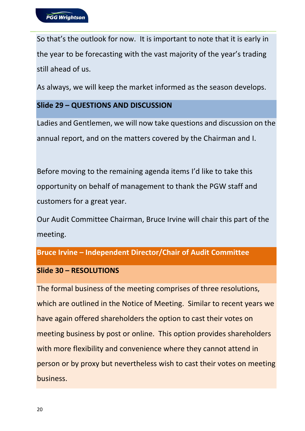So that's the outlook for now. It is important to note that it is early in the year to be forecasting with the vast majority of the year's trading still ahead of us.

As always, we will keep the market informed as the season develops.

### **Slide 29 – QUESTIONS AND DISCUSSION**

Ladies and Gentlemen, we will now take questions and discussion on the annual report, and on the matters covered by the Chairman and I.

Before moving to the remaining agenda items I'd like to take this opportunity on behalf of management to thank the PGW staff and customers for a great year.

Our Audit Committee Chairman, Bruce Irvine will chair this part of the meeting.

# **Bruce Irvine – Independent Director/Chair of Audit Committee**

# **Slide 30 – RESOLUTIONS**

The formal business of the meeting comprises of three resolutions, which are outlined in the Notice of Meeting. Similar to recent years we have again offered shareholders the option to cast their votes on meeting business by post or online. This option provides shareholders with more flexibility and convenience where they cannot attend in person or by proxy but nevertheless wish to cast their votes on meeting business.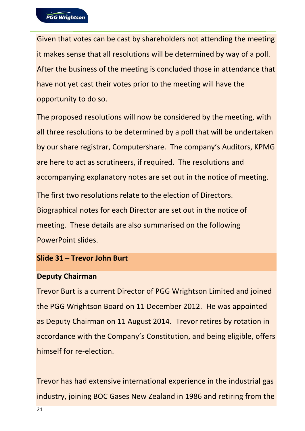Given that votes can be cast by shareholders not attending the meeting it makes sense that all resolutions will be determined by way of a poll. After the business of the meeting is concluded those in attendance that have not yet cast their votes prior to the meeting will have the opportunity to do so.

The proposed resolutions will now be considered by the meeting, with all three resolutions to be determined by a poll that will be undertaken by our share registrar, Computershare. The company's Auditors, KPMG are here to act as scrutineers, if required. The resolutions and accompanying explanatory notes are set out in the notice of meeting.

The first two resolutions relate to the election of Directors. Biographical notes for each Director are set out in the notice of meeting. These details are also summarised on the following PowerPoint slides.

#### **Slide 31 – Trevor John Burt**

#### **Deputy Chairman**

Trevor Burt is a current Director of PGG Wrightson Limited and joined the PGG Wrightson Board on 11 December 2012. He was appointed as Deputy Chairman on 11 August 2014. Trevor retires by rotation in accordance with the Company's Constitution, and being eligible, offers himself for re-election.

Trevor has had extensive international experience in the industrial gas industry, joining BOC Gases New Zealand in 1986 and retiring from the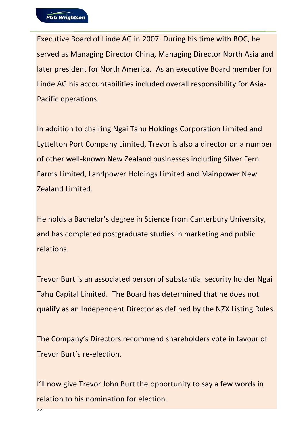Executive Board of Linde AG in 2007. During his time with BOC, he served as Managing Director China, Managing Director North Asia and later president for North America. As an executive Board member for Linde AG his accountabilities included overall responsibility for Asia-Pacific operations.

In addition to chairing Ngai Tahu Holdings Corporation Limited and Lyttelton Port Company Limited, Trevor is also a director on a number of other well-known New Zealand businesses including Silver Fern Farms Limited, Landpower Holdings Limited and Mainpower New Zealand Limited.

He holds a Bachelor's degree in Science from Canterbury University, and has completed postgraduate studies in marketing and public relations.

Trevor Burt is an associated person of substantial security holder Ngai Tahu Capital Limited. The Board has determined that he does not qualify as an Independent Director as defined by the NZX Listing Rules.

The Company's Directors recommend shareholders vote in favour of Trevor Burt's re-election.

I'll now give Trevor John Burt the opportunity to say a few words in relation to his nomination for election.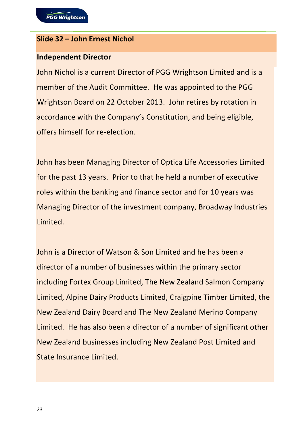#### **Slide 32 – John Ernest Nichol**

#### **Independent Director**

John Nichol is a current Director of PGG Wrightson Limited and is a member of the Audit Committee. He was appointed to the PGG Wrightson Board on 22 October 2013. John retires by rotation in accordance with the Company's Constitution, and being eligible, offers himself for re-election.

John has been Managing Director of Optica Life Accessories Limited for the past 13 years. Prior to that he held a number of executive roles within the banking and finance sector and for 10 years was Managing Director of the investment company, Broadway Industries Limited.

John is a Director of Watson & Son Limited and he has been a director of a number of businesses within the primary sector including Fortex Group Limited, The New Zealand Salmon Company Limited, Alpine Dairy Products Limited, Craigpine Timber Limited, the New Zealand Dairy Board and The New Zealand Merino Company Limited. He has also been a director of a number of significant other New Zealand businesses including New Zealand Post Limited and State Insurance Limited.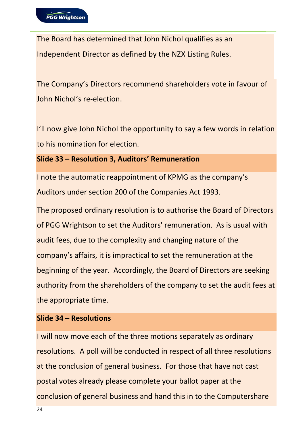The Board has determined that John Nichol qualifies as an Independent Director as defined by the NZX Listing Rules.

The Company's Directors recommend shareholders vote in favour of John Nichol's re-election.

I'll now give John Nichol the opportunity to say a few words in relation to his nomination for election.

**Slide 33 – Resolution 3, Auditors' Remuneration**

I note the automatic reappointment of KPMG as the company's Auditors under section 200 of the Companies Act 1993.

The proposed ordinary resolution is to authorise the Board of Directors of PGG Wrightson to set the Auditors' remuneration. As is usual with audit fees, due to the complexity and changing nature of the company's affairs, it is impractical to set the remuneration at the beginning of the year. Accordingly, the Board of Directors are seeking authority from the shareholders of the company to set the audit fees at the appropriate time.

# **Slide 34 – Resolutions**

I will now move each of the three motions separately as ordinary resolutions. A poll will be conducted in respect of all three resolutions at the conclusion of general business. For those that have not cast postal votes already please complete your ballot paper at the conclusion of general business and hand this in to the Computershare